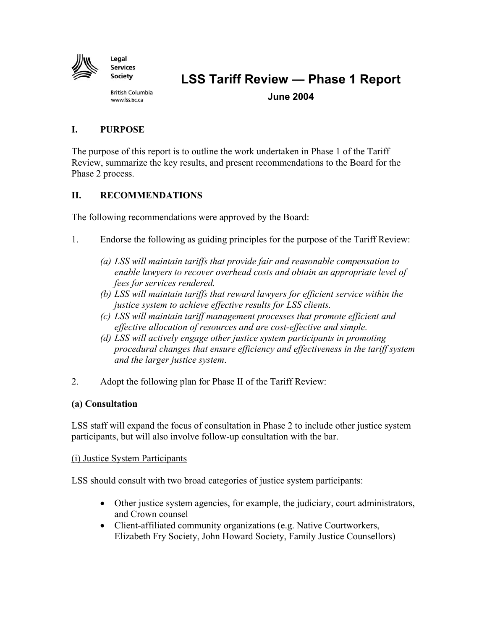

**LSS Tariff Review – Phase 1 Report** 

**British Columbia** www.lss.bc.ca

**June 2004** 

## **I. PURPOSE**

The purpose of this report is to outline the work undertaken in Phase 1 of the Tariff Review, summarize the key results, and present recommendations to the Board for the Phase 2 process.

## **II. RECOMMENDATIONS**

The following recommendations were approved by the Board:

- 1. Endorse the following as guiding principles for the purpose of the Tariff Review:
	- *(a) LSS will maintain tariffs that provide fair and reasonable compensation to enable lawyers to recover overhead costs and obtain an appropriate level of fees for services rendered.*
	- *(b) LSS will maintain tariffs that reward lawyers for efficient service within the justice system to achieve effective results for LSS clients.*
	- *(c) LSS will maintain tariff management processes that promote efficient and effective allocation of resources and are cost-effective and simple.*
	- *(d) LSS will actively engage other justice system participants in promoting procedural changes that ensure efficiency and effectiveness in the tariff system and the larger justice system*.
- 2. Adopt the following plan for Phase II of the Tariff Review:

### **(a) Consultation**

LSS staff will expand the focus of consultation in Phase 2 to include other justice system participants, but will also involve follow-up consultation with the bar.

#### (i) Justice System Participants

LSS should consult with two broad categories of justice system participants:

- Other justice system agencies, for example, the judiciary, court administrators, and Crown counsel
- Client-affiliated community organizations (e.g. Native Courtworkers, Elizabeth Fry Society, John Howard Society, Family Justice Counsellors)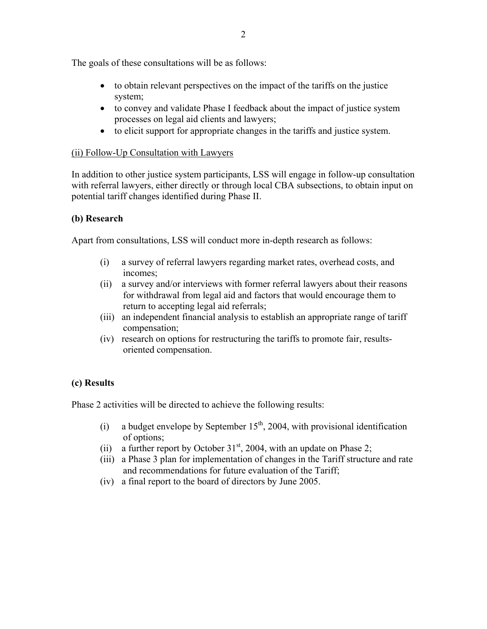The goals of these consultations will be as follows:

- to obtain relevant perspectives on the impact of the tariffs on the justice system;
- to convey and validate Phase I feedback about the impact of justice system processes on legal aid clients and lawyers;
- to elicit support for appropriate changes in the tariffs and justice system.

## (ii) Follow-Up Consultation with Lawyers

In addition to other justice system participants, LSS will engage in follow-up consultation with referral lawyers, either directly or through local CBA subsections, to obtain input on potential tariff changes identified during Phase II.

## **(b) Research**

Apart from consultations, LSS will conduct more in-depth research as follows:

- (i) a survey of referral lawyers regarding market rates, overhead costs, and incomes;
- (ii) a survey and/or interviews with former referral lawyers about their reasons for withdrawal from legal aid and factors that would encourage them to return to accepting legal aid referrals;
- (iii) an independent financial analysis to establish an appropriate range of tariff compensation;
- (iv) research on options for restructuring the tariffs to promote fair, resultsoriented compensation.

## **(c) Results**

Phase 2 activities will be directed to achieve the following results:

- (i) a budget envelope by September  $15<sup>th</sup>$ , 2004, with provisional identification of options;
- (ii) a further report by October  $31<sup>st</sup>$ , 2004, with an update on Phase 2;
- (iii) a Phase 3 plan for implementation of changes in the Tariff structure and rate and recommendations for future evaluation of the Tariff;
- (iv) a final report to the board of directors by June 2005.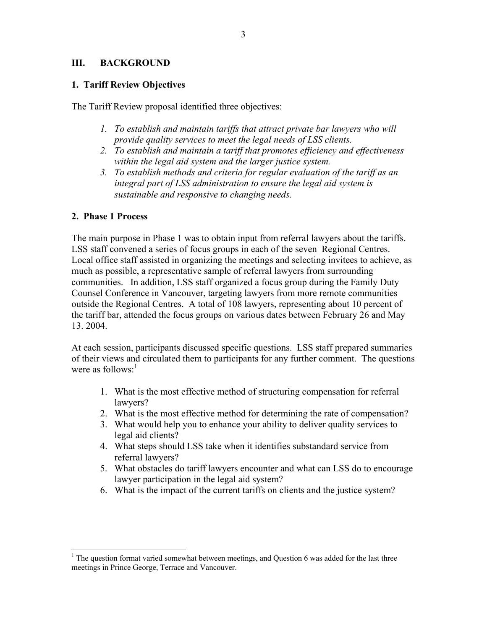#### **III. BACKGROUND**

#### **1. Tariff Review Objectives**

The Tariff Review proposal identified three objectives:

- *1. To establish and maintain tariffs that attract private bar lawyers who will provide quality services to meet the legal needs of LSS clients.*
- *2. To establish and maintain a tariff that promotes efficiency and effectiveness within the legal aid system and the larger justice system.*
- *3. To establish methods and criteria for regular evaluation of the tariff as an integral part of LSS administration to ensure the legal aid system is sustainable and responsive to changing needs.*

#### **2. Phase 1 Process**

1

The main purpose in Phase 1 was to obtain input from referral lawyers about the tariffs. LSS staff convened a series of focus groups in each of the seven Regional Centres. Local office staff assisted in organizing the meetings and selecting invitees to achieve, as much as possible, a representative sample of referral lawyers from surrounding communities. In addition, LSS staff organized a focus group during the Family Duty Counsel Conference in Vancouver, targeting lawyers from more remote communities outside the Regional Centres. A total of 108 lawyers, representing about 10 percent of the tariff bar, attended the focus groups on various dates between February 26 and May 13. 2004.

At each session, participants discussed specific questions. LSS staff prepared summaries of their views and circulated them to participants for any further comment. The questions were as follows: $<sup>1</sup>$ </sup>

- 1. What is the most effective method of structuring compensation for referral lawyers?
- 2. What is the most effective method for determining the rate of compensation?
- 3. What would help you to enhance your ability to deliver quality services to legal aid clients?
- 4. What steps should LSS take when it identifies substandard service from referral lawyers?
- 5. What obstacles do tariff lawyers encounter and what can LSS do to encourage lawyer participation in the legal aid system?
- 6. What is the impact of the current tariffs on clients and the justice system?

 $1$  The question format varied somewhat between meetings, and Question 6 was added for the last three meetings in Prince George, Terrace and Vancouver.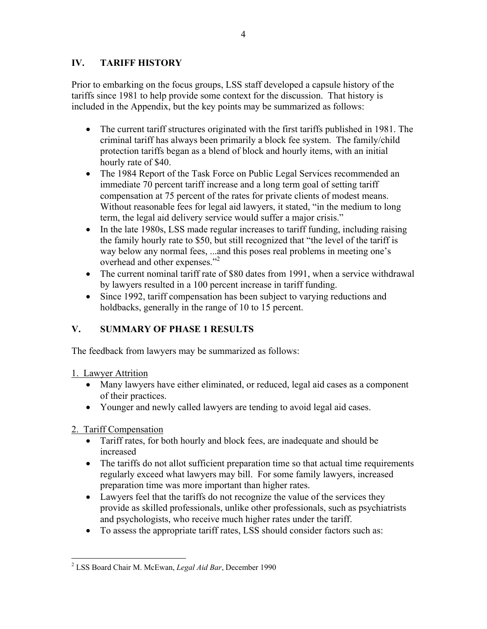## **IV. TARIFF HISTORY**

Prior to embarking on the focus groups, LSS staff developed a capsule history of the tariffs since 1981 to help provide some context for the discussion. That history is included in the Appendix, but the key points may be summarized as follows:

- The current tariff structures originated with the first tariffs published in 1981. The criminal tariff has always been primarily a block fee system. The family/child protection tariffs began as a blend of block and hourly items, with an initial hourly rate of \$40.
- The 1984 Report of the Task Force on Public Legal Services recommended an immediate 70 percent tariff increase and a long term goal of setting tariff compensation at 75 percent of the rates for private clients of modest means. Without reasonable fees for legal aid lawyers, it stated, "in the medium to long term, the legal aid delivery service would suffer a major crisis."
- In the late 1980s, LSS made regular increases to tariff funding, including raising the family hourly rate to \$50, but still recognized that "the level of the tariff is way below any normal fees, ...and this poses real problems in meeting one's overhead and other expenses.<sup>"2</sup>
- The current nominal tariff rate of \$80 dates from 1991, when a service withdrawal by lawyers resulted in a 100 percent increase in tariff funding.
- Since 1992, tariff compensation has been subject to varying reductions and holdbacks, generally in the range of 10 to 15 percent.

# **V. SUMMARY OF PHASE 1 RESULTS**

The feedback from lawyers may be summarized as follows:

1. Lawyer Attrition

- Many lawyers have either eliminated, or reduced, legal aid cases as a component of their practices.
- Younger and newly called lawyers are tending to avoid legal aid cases.

2. Tariff Compensation

- Tariff rates, for both hourly and block fees, are inadequate and should be increased
- The tariffs do not allot sufficient preparation time so that actual time requirements regularly exceed what lawyers may bill. For some family lawyers, increased preparation time was more important than higher rates.
- Lawyers feel that the tariffs do not recognize the value of the services they provide as skilled professionals, unlike other professionals, such as psychiatrists and psychologists, who receive much higher rates under the tariff.
- To assess the appropriate tariff rates, LSS should consider factors such as:

 $\overline{a}$ 2 LSS Board Chair M. McEwan, *Legal Aid Bar*, December 1990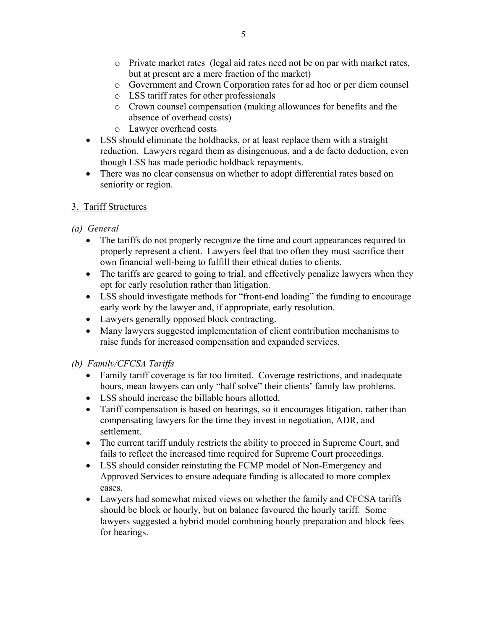- o Private market rates (legal aid rates need not be on par with market rates, but at present are a mere fraction of the market)
- o Government and Crown Corporation rates for ad hoc or per diem counsel
- o LSS tariff rates for other professionals
- o Crown counsel compensation (making allowances for benefits and the absence of overhead costs)
- o Lawyer overhead costs
- LSS should eliminate the holdbacks, or at least replace them with a straight reduction. Lawyers regard them as disingenuous, and a de facto deduction, even though LSS has made periodic holdback repayments.
- There was no clear consensus on whether to adopt differential rates based on seniority or region.

## 3. Tariff Structures

- *(a) General* 
	- The tariffs do not properly recognize the time and court appearances required to properly represent a client. Lawyers feel that too often they must sacrifice their own financial well-being to fulfill their ethical duties to clients.
	- The tariffs are geared to going to trial, and effectively penalize lawyers when they opt for early resolution rather than litigation.
	- LSS should investigate methods for "front-end loading" the funding to encourage early work by the lawyer and, if appropriate, early resolution.
	- Lawyers generally opposed block contracting.
	- Many lawyers suggested implementation of client contribution mechanisms to raise funds for increased compensation and expanded services.

# *(b) Family/CFCSA Tariffs*

- Family tariff coverage is far too limited. Coverage restrictions, and inadequate hours, mean lawyers can only "half solve" their clients' family law problems.
- LSS should increase the billable hours allotted.
- Tariff compensation is based on hearings, so it encourages litigation, rather than compensating lawyers for the time they invest in negotiation, ADR, and settlement.
- The current tariff unduly restricts the ability to proceed in Supreme Court, and fails to reflect the increased time required for Supreme Court proceedings.
- LSS should consider reinstating the FCMP model of Non-Emergency and Approved Services to ensure adequate funding is allocated to more complex cases.
- Lawyers had somewhat mixed views on whether the family and CFCSA tariffs should be block or hourly, but on balance favoured the hourly tariff. Some lawyers suggested a hybrid model combining hourly preparation and block fees for hearings.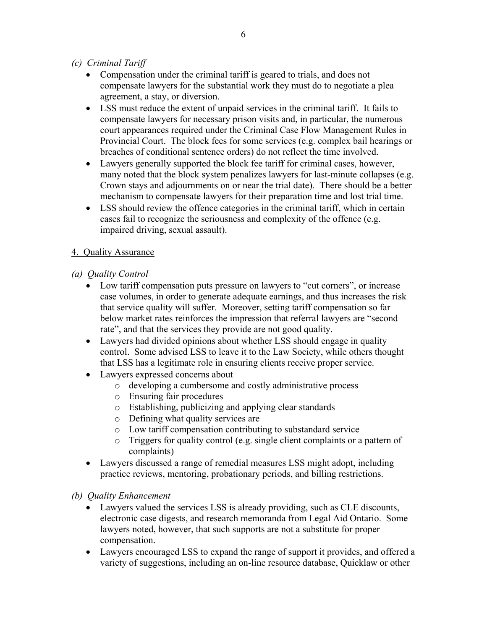- *(c) Criminal Tariff* 
	- Compensation under the criminal tariff is geared to trials, and does not compensate lawyers for the substantial work they must do to negotiate a plea agreement, a stay, or diversion.
	- LSS must reduce the extent of unpaid services in the criminal tariff. It fails to compensate lawyers for necessary prison visits and, in particular, the numerous court appearances required under the Criminal Case Flow Management Rules in Provincial Court. The block fees for some services (e.g. complex bail hearings or breaches of conditional sentence orders) do not reflect the time involved.
	- Lawyers generally supported the block fee tariff for criminal cases, however, many noted that the block system penalizes lawyers for last-minute collapses (e.g. Crown stays and adjournments on or near the trial date). There should be a better mechanism to compensate lawyers for their preparation time and lost trial time.
	- LSS should review the offence categories in the criminal tariff, which in certain cases fail to recognize the seriousness and complexity of the offence (e.g. impaired driving, sexual assault).

### 4. Quality Assurance

- *(a) Quality Control* 
	- Low tariff compensation puts pressure on lawyers to "cut corners", or increase case volumes, in order to generate adequate earnings, and thus increases the risk that service quality will suffer. Moreover, setting tariff compensation so far below market rates reinforces the impression that referral lawyers are "second rate", and that the services they provide are not good quality.
	- Lawyers had divided opinions about whether LSS should engage in quality control. Some advised LSS to leave it to the Law Society, while others thought that LSS has a legitimate role in ensuring clients receive proper service.
	- Lawyers expressed concerns about
		- o developing a cumbersome and costly administrative process
		- o Ensuring fair procedures
		- o Establishing, publicizing and applying clear standards
		- o Defining what quality services are
		- o Low tariff compensation contributing to substandard service
		- o Triggers for quality control (e.g. single client complaints or a pattern of complaints)
	- Lawyers discussed a range of remedial measures LSS might adopt, including practice reviews, mentoring, probationary periods, and billing restrictions.

#### *(b) Quality Enhancement*

- Lawyers valued the services LSS is already providing, such as CLE discounts, electronic case digests, and research memoranda from Legal Aid Ontario. Some lawyers noted, however, that such supports are not a substitute for proper compensation.
- Lawyers encouraged LSS to expand the range of support it provides, and offered a variety of suggestions, including an on-line resource database, Quicklaw or other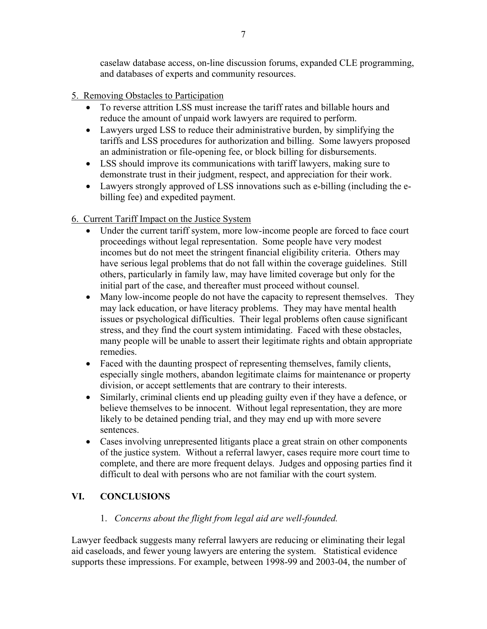caselaw database access, on-line discussion forums, expanded CLE programming, and databases of experts and community resources.

- 5. Removing Obstacles to Participation
	- To reverse attrition LSS must increase the tariff rates and billable hours and reduce the amount of unpaid work lawyers are required to perform.
	- Lawyers urged LSS to reduce their administrative burden, by simplifying the tariffs and LSS procedures for authorization and billing. Some lawyers proposed an administration or file-opening fee, or block billing for disbursements.
	- LSS should improve its communications with tariff lawyers, making sure to demonstrate trust in their judgment, respect, and appreciation for their work.
	- Lawyers strongly approved of LSS innovations such as e-billing (including the ebilling fee) and expedited payment.

### 6. Current Tariff Impact on the Justice System

- Under the current tariff system, more low-income people are forced to face court proceedings without legal representation. Some people have very modest incomes but do not meet the stringent financial eligibility criteria. Others may have serious legal problems that do not fall within the coverage guidelines. Still others, particularly in family law, may have limited coverage but only for the initial part of the case, and thereafter must proceed without counsel.
- Many low-income people do not have the capacity to represent themselves. They may lack education, or have literacy problems. They may have mental health issues or psychological difficulties. Their legal problems often cause significant stress, and they find the court system intimidating. Faced with these obstacles, many people will be unable to assert their legitimate rights and obtain appropriate remedies.
- Faced with the daunting prospect of representing themselves, family clients, especially single mothers, abandon legitimate claims for maintenance or property division, or accept settlements that are contrary to their interests.
- Similarly, criminal clients end up pleading guilty even if they have a defence, or believe themselves to be innocent. Without legal representation, they are more likely to be detained pending trial, and they may end up with more severe sentences.
- Cases involving unrepresented litigants place a great strain on other components of the justice system. Without a referral lawyer, cases require more court time to complete, and there are more frequent delays. Judges and opposing parties find it difficult to deal with persons who are not familiar with the court system.

## **VI. CONCLUSIONS**

### 1. *Concerns about the flight from legal aid are well-founded.*

Lawyer feedback suggests many referral lawyers are reducing or eliminating their legal aid caseloads, and fewer young lawyers are entering the system. Statistical evidence supports these impressions. For example, between 1998-99 and 2003-04, the number of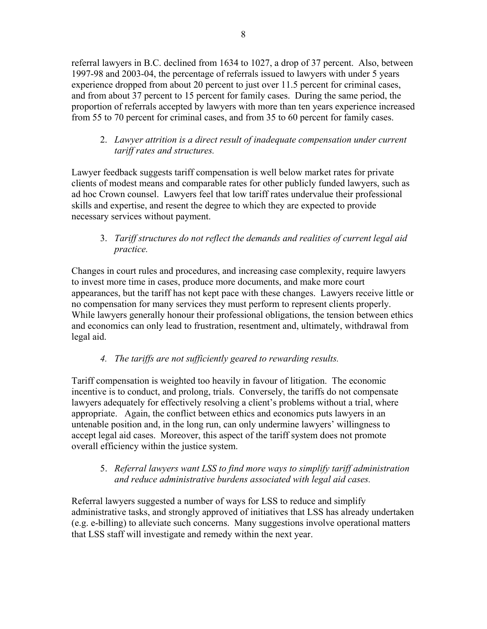referral lawyers in B.C. declined from 1634 to 1027, a drop of 37 percent. Also, between 1997-98 and 2003-04, the percentage of referrals issued to lawyers with under 5 years experience dropped from about 20 percent to just over 11.5 percent for criminal cases, and from about 37 percent to 15 percent for family cases. During the same period, the proportion of referrals accepted by lawyers with more than ten years experience increased from 55 to 70 percent for criminal cases, and from 35 to 60 percent for family cases.

2. *Lawyer attrition is a direct result of inadequate compensation under current tariff rates and structures.* 

Lawyer feedback suggests tariff compensation is well below market rates for private clients of modest means and comparable rates for other publicly funded lawyers, such as ad hoc Crown counsel. Lawyers feel that low tariff rates undervalue their professional skills and expertise, and resent the degree to which they are expected to provide necessary services without payment.

3. *Tariff structures do not reflect the demands and realities of current legal aid practice.* 

Changes in court rules and procedures, and increasing case complexity, require lawyers to invest more time in cases, produce more documents, and make more court appearances, but the tariff has not kept pace with these changes. Lawyers receive little or no compensation for many services they must perform to represent clients properly. While lawyers generally honour their professional obligations, the tension between ethics and economics can only lead to frustration, resentment and, ultimately, withdrawal from legal aid.

## *4. The tariffs are not sufficiently geared to rewarding results.*

Tariff compensation is weighted too heavily in favour of litigation. The economic incentive is to conduct, and prolong, trials. Conversely, the tariffs do not compensate lawyers adequately for effectively resolving a client's problems without a trial, where appropriate. Again, the conflict between ethics and economics puts lawyers in an untenable position and, in the long run, can only undermine lawyers' willingness to accept legal aid cases. Moreover, this aspect of the tariff system does not promote overall efficiency within the justice system.

## 5. *Referral lawyers want LSS to find more ways to simplify tariff administration and reduce administrative burdens associated with legal aid cases.*

Referral lawyers suggested a number of ways for LSS to reduce and simplify administrative tasks, and strongly approved of initiatives that LSS has already undertaken (e.g. e-billing) to alleviate such concerns. Many suggestions involve operational matters that LSS staff will investigate and remedy within the next year.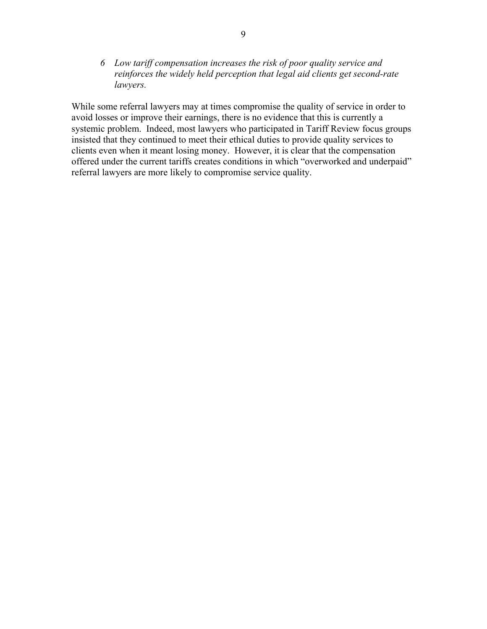*6 Low tariff compensation increases the risk of poor quality service and reinforces the widely held perception that legal aid clients get second-rate lawyers.* 

While some referral lawyers may at times compromise the quality of service in order to avoid losses or improve their earnings, there is no evidence that this is currently a systemic problem. Indeed, most lawyers who participated in Tariff Review focus groups insisted that they continued to meet their ethical duties to provide quality services to clients even when it meant losing money. However, it is clear that the compensation offered under the current tariffs creates conditions in which "overworked and underpaid" referral lawyers are more likely to compromise service quality.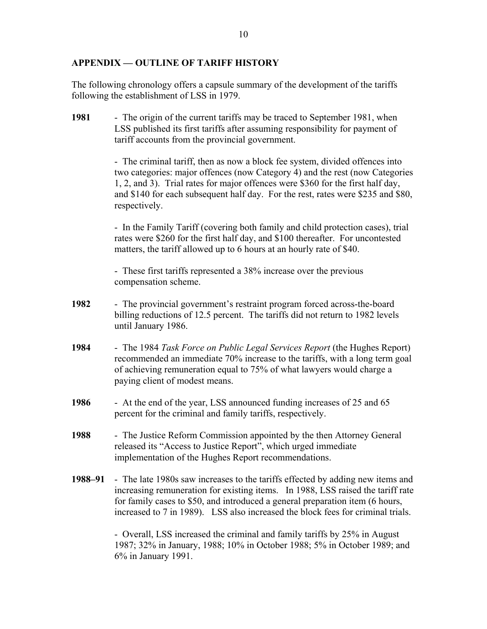#### **APPENDIX — OUTLINE OF TARIFF HISTORY**

The following chronology offers a capsule summary of the development of the tariffs following the establishment of LSS in 1979.

**1981** - The origin of the current tariffs may be traced to September 1981, when LSS published its first tariffs after assuming responsibility for payment of tariff accounts from the provincial government.

> - The criminal tariff, then as now a block fee system, divided offences into two categories: major offences (now Category 4) and the rest (now Categories 1, 2, and 3). Trial rates for major offences were \$360 for the first half day, and \$140 for each subsequent half day. For the rest, rates were \$235 and \$80, respectively.

- In the Family Tariff (covering both family and child protection cases), trial rates were \$260 for the first half day, and \$100 thereafter. For uncontested matters, the tariff allowed up to 6 hours at an hourly rate of \$40.

- These first tariffs represented a 38% increase over the previous compensation scheme.

- **1982** The provincial government's restraint program forced across-the-board billing reductions of 12.5 percent. The tariffs did not return to 1982 levels until January 1986.
- **1984** The 1984 *Task Force on Public Legal Services Report* (the Hughes Report) recommended an immediate 70% increase to the tariffs, with a long term goal of achieving remuneration equal to 75% of what lawyers would charge a paying client of modest means.
- **1986** At the end of the year, LSS announced funding increases of 25 and 65 percent for the criminal and family tariffs, respectively.
- **1988** The Justice Reform Commission appointed by the then Attorney General released its "Access to Justice Report", which urged immediate implementation of the Hughes Report recommendations.
- **1988–91** The late 1980s saw increases to the tariffs effected by adding new items and increasing remuneration for existing items. In 1988, LSS raised the tariff rate for family cases to \$50, and introduced a general preparation item (6 hours, increased to 7 in 1989). LSS also increased the block fees for criminal trials.

- Overall, LSS increased the criminal and family tariffs by 25% in August 1987; 32% in January, 1988; 10% in October 1988; 5% in October 1989; and 6% in January 1991.